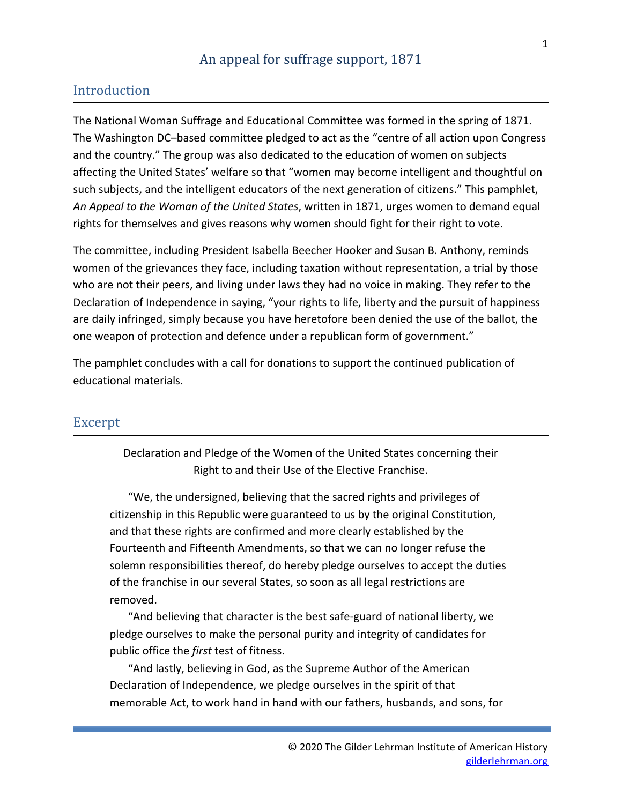# Introduction

The National Woman Suffrage and Educational Committee was formed in the spring of 1871. The Washington DC–based committee pledged to act as the "centre of all action upon Congress and the country." The group was also dedicated to the education of women on subjects affecting the United States' welfare so that "women may become intelligent and thoughtful on such subjects, and the intelligent educators of the next generation of citizens." This pamphlet, *An Appeal to the Woman of the United States*, written in 1871, urges women to demand equal rights for themselves and gives reasons why women should fight for their right to vote.

The committee, including President Isabella Beecher Hooker and Susan B. Anthony, reminds women of the grievances they face, including taxation without representation, a trial by those who are not their peers, and living under laws they had no voice in making. They refer to the Declaration of Independence in saying, "your rights to life, liberty and the pursuit of happiness are daily infringed, simply because you have heretofore been denied the use of the ballot, the one weapon of protection and defence under a republican form of government."

The pamphlet concludes with a call for donations to support the continued publication of educational materials.

### Excerpt

Declaration and Pledge of the Women of the United States concerning their Right to and their Use of the Elective Franchise.

"We, the undersigned, believing that the sacred rights and privileges of citizenship in this Republic were guaranteed to us by the original Constitution, and that these rights are confirmed and more clearly established by the Fourteenth and Fifteenth Amendments, so that we can no longer refuse the solemn responsibilities thereof, do hereby pledge ourselves to accept the duties of the franchise in our several States, so soon as all legal restrictions are removed.

"And believing that character is the best safe-guard of national liberty, we pledge ourselves to make the personal purity and integrity of candidates for public office the *first* test of fitness.

"And lastly, believing in God, as the Supreme Author of the American Declaration of Independence, we pledge ourselves in the spirit of that memorable Act, to work hand in hand with our fathers, husbands, and sons, for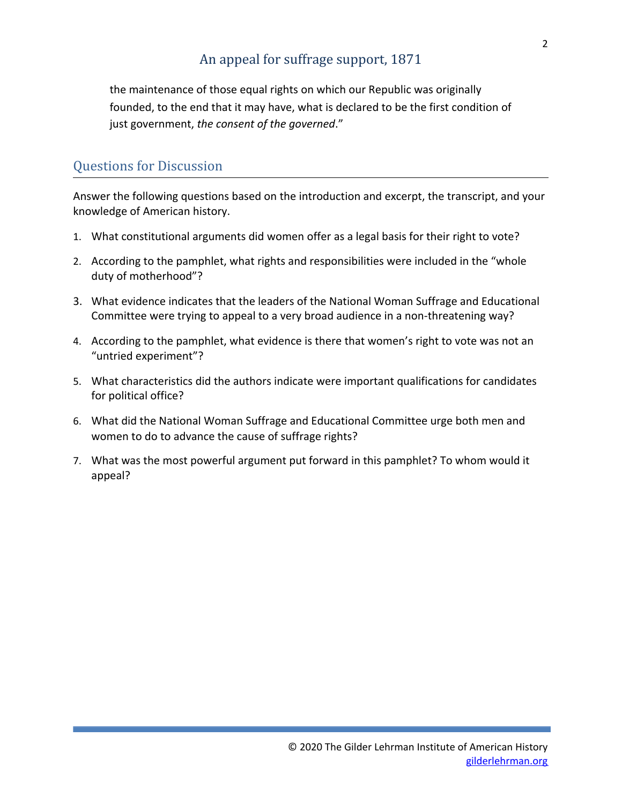the maintenance of those equal rights on which our Republic was originally founded, to the end that it may have, what is declared to be the first condition of just government, *the consent of the governed*."

# Questions for Discussion

Answer the following questions based on the introduction and excerpt, the transcript, and your knowledge of American history.

- 1. What constitutional arguments did women offer as a legal basis for their right to vote?
- 2. According to the pamphlet, what rights and responsibilities were included in the "whole duty of motherhood"?
- 3. What evidence indicates that the leaders of the National Woman Suffrage and Educational Committee were trying to appeal to a very broad audience in a non-threatening way?
- 4. According to the pamphlet, what evidence is there that women's right to vote was not an "untried experiment"?
- 5. What characteristics did the authors indicate were important qualifications for candidates for political office?
- 6. What did the National Woman Suffrage and Educational Committee urge both men and women to do to advance the cause of suffrage rights?
- 7. What was the most powerful argument put forward in this pamphlet? To whom would it appeal?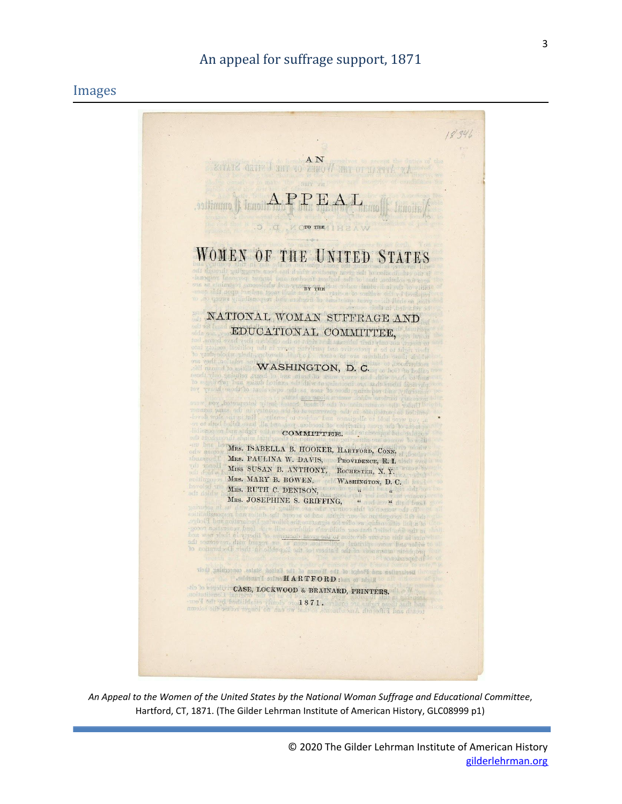#### Images



*An Appeal to the Women of the United States by the National Woman Suffrage and Educational Committee*, Hartford, CT, 1871. (The Gilder Lehrman Institute of American History, GLC08999 p1)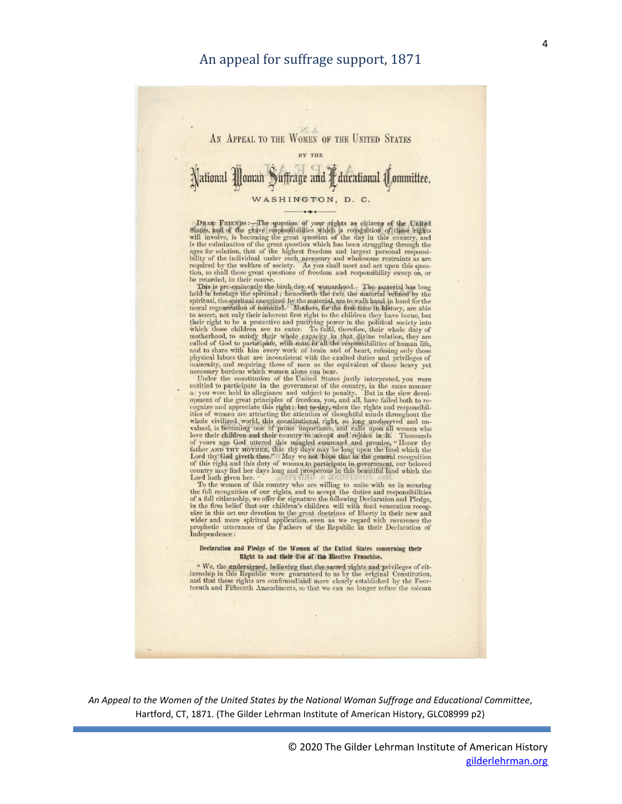

DEAR FRIENDS :—The question of your rights as citizens of the United States, and of the grave responsibilities which a recognition of those rights will involve, is becoming the great question of the day in this country, a be retarded, in their course

to, so small these great questions of reedom and responsibility sweep on, or<br>the retarded, in their course.<br>
This is pre-eminently the birth day of womanhood. The material has long<br>held in bondage the spiritual, the smitra

opment of the great principles of freedom, you, and all, have failed both to recognize and appreciate this right; but to day, when the rights and responsibilities of women are attracting the attention of thoughtful minds Lord hath given her.

Lord hath given her.<br>To the women of this country who are willing to unite with us in securing<br>the full recognition of our rights, and to accept the duties and responsibilities<br>of a full citizenship, we offer for signature

#### Declaration and Pledge of the Women of the United States concerning their Right to and their Use of the Elective Franchise.

 $4$  We, the undersigned, believing that the sacred rights and privileges of citizenship in this Republic were guaranteed to us by the original Constitution, and that these rights are confirmed and more clearly established

*An Appeal to the Women of the United States by the National Woman Suffrage and Educational Committee*, Hartford, CT, 1871. (The Gilder Lehrman Institute of American History, GLC08999 p2)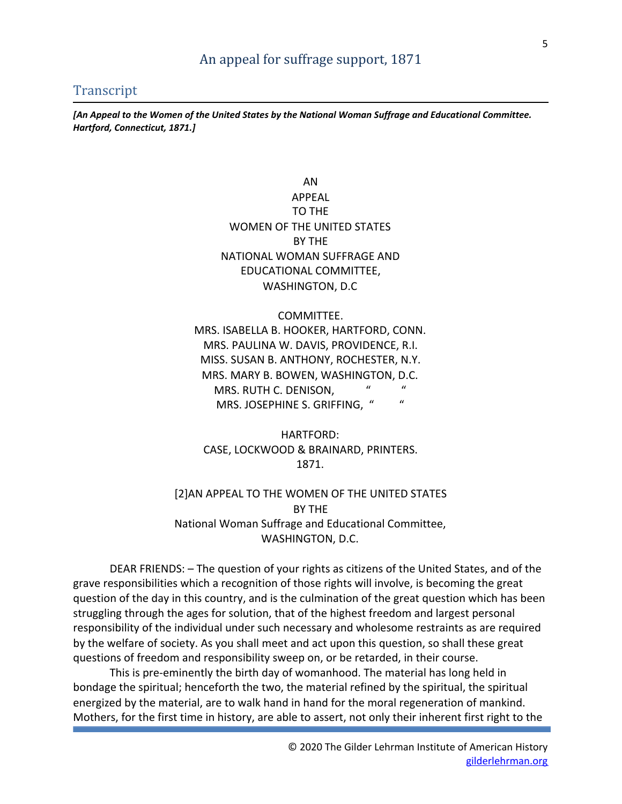#### **Transcript**

*[An Appeal to the Women of the United States by the National Woman Suffrage and Educational Committee. Hartford, Connecticut, 1871.]*

> AN APPEAL TO THE WOMEN OF THE UNITED STATES BY THE NATIONAL WOMAN SUFFRAGE AND EDUCATIONAL COMMITTEE, WASHINGTON, D.C

COMMITTEE. MRS. ISABELLA B. HOOKER, HARTFORD, CONN. MRS. PAULINA W. DAVIS, PROVIDENCE, R.I. MISS. SUSAN B. ANTHONY, ROCHESTER, N.Y. MRS. MARY B. BOWEN, WASHINGTON, D.C. MRS. RUTH C. DENISON, " MRS. JOSEPHINE S. GRIFFING, " "

HARTFORD: CASE, LOCKWOOD & BRAINARD, PRINTERS. 1871.

#### [2]AN APPEAL TO THE WOMEN OF THE UNITED STATES BY THE National Woman Suffrage and Educational Committee, WASHINGTON, D.C.

DEAR FRIENDS: – The question of your rights as citizens of the United States, and of the grave responsibilities which a recognition of those rights will involve, is becoming the great question of the day in this country, and is the culmination of the great question which has been struggling through the ages for solution, that of the highest freedom and largest personal responsibility of the individual under such necessary and wholesome restraints as are required by the welfare of society. As you shall meet and act upon this question, so shall these great questions of freedom and responsibility sweep on, or be retarded, in their course.

This is pre-eminently the birth day of womanhood. The material has long held in bondage the spiritual; henceforth the two, the material refined by the spiritual, the spiritual energized by the material, are to walk hand in hand for the moral regeneration of mankind. Mothers, for the first time in history, are able to assert, not only their inherent first right to the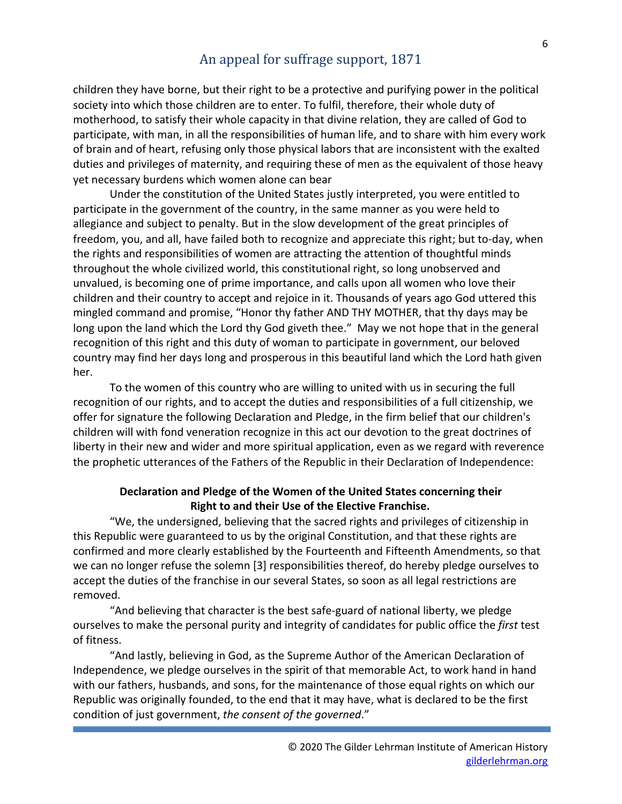children they have borne, but their right to be a protective and purifying power in the political society into which those children are to enter. To fulfil, therefore, their whole duty of motherhood, to satisfy their whole capacity in that divine relation, they are called of God to participate, with man, in all the responsibilities of human life, and to share with him every work of brain and of heart, refusing only those physical labors that are inconsistent with the exalted duties and privileges of maternity, and requiring these of men as the equivalent of those heavy yet necessary burdens which women alone can bear

Under the constitution of the United States justly interpreted, you were entitled to participate in the government of the country, in the same manner as you were held to allegiance and subject to penalty. But in the slow development of the great principles of freedom, you, and all, have failed both to recognize and appreciate this right; but to-day, when the rights and responsibilities of women are attracting the attention of thoughtful minds throughout the whole civilized world, this constitutional right, so long unobserved and unvalued, is becoming one of prime importance, and calls upon all women who love their children and their country to accept and rejoice in it. Thousands of years ago God uttered this mingled command and promise, "Honor thy father AND THY MOTHER, that thy days may be long upon the land which the Lord thy God giveth thee." May we not hope that in the general recognition of this right and this duty of woman to participate in government, our beloved country may find her days long and prosperous in this beautiful land which the Lord hath given her.

To the women of this country who are willing to united with us in securing the full recognition of our rights, and to accept the duties and responsibilities of a full citizenship, we offer for signature the following Declaration and Pledge, in the firm belief that our children's children will with fond veneration recognize in this act our devotion to the great doctrines of liberty in their new and wider and more spiritual application, even as we regard with reverence the prophetic utterances of the Fathers of the Republic in their Declaration of Independence:

#### **Declaration and Pledge of the Women of the United States concerning their Right to and their Use of the Elective Franchise.**

"We, the undersigned, believing that the sacred rights and privileges of citizenship in this Republic were guaranteed to us by the original Constitution, and that these rights are confirmed and more clearly established by the Fourteenth and Fifteenth Amendments, so that we can no longer refuse the solemn [3] responsibilities thereof, do hereby pledge ourselves to accept the duties of the franchise in our several States, so soon as all legal restrictions are removed.

"And believing that character is the best safe-guard of national liberty, we pledge ourselves to make the personal purity and integrity of candidates for public office the *first* test of fitness.

"And lastly, believing in God, as the Supreme Author of the American Declaration of Independence, we pledge ourselves in the spirit of that memorable Act, to work hand in hand with our fathers, husbands, and sons, for the maintenance of those equal rights on which our Republic was originally founded, to the end that it may have, what is declared to be the first condition of just government, *the consent of the governed*."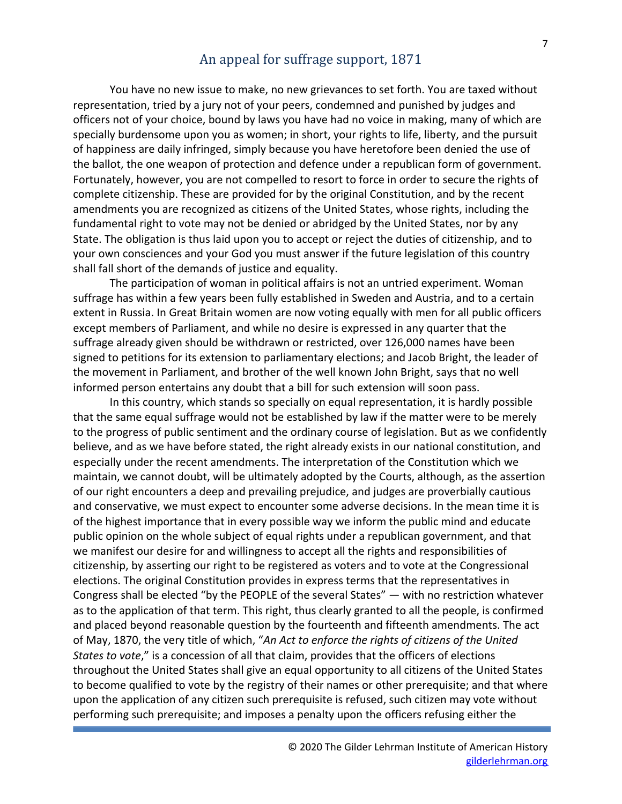You have no new issue to make, no new grievances to set forth. You are taxed without representation, tried by a jury not of your peers, condemned and punished by judges and officers not of your choice, bound by laws you have had no voice in making, many of which are specially burdensome upon you as women; in short, your rights to life, liberty, and the pursuit of happiness are daily infringed, simply because you have heretofore been denied the use of the ballot, the one weapon of protection and defence under a republican form of government. Fortunately, however, you are not compelled to resort to force in order to secure the rights of complete citizenship. These are provided for by the original Constitution, and by the recent amendments you are recognized as citizens of the United States, whose rights, including the fundamental right to vote may not be denied or abridged by the United States, nor by any State. The obligation is thus laid upon you to accept or reject the duties of citizenship, and to your own consciences and your God you must answer if the future legislation of this country shall fall short of the demands of justice and equality.

The participation of woman in political affairs is not an untried experiment. Woman suffrage has within a few years been fully established in Sweden and Austria, and to a certain extent in Russia. In Great Britain women are now voting equally with men for all public officers except members of Parliament, and while no desire is expressed in any quarter that the suffrage already given should be withdrawn or restricted, over 126,000 names have been signed to petitions for its extension to parliamentary elections; and Jacob Bright, the leader of the movement in Parliament, and brother of the well known John Bright, says that no well informed person entertains any doubt that a bill for such extension will soon pass.

In this country, which stands so specially on equal representation, it is hardly possible that the same equal suffrage would not be established by law if the matter were to be merely to the progress of public sentiment and the ordinary course of legislation. But as we confidently believe, and as we have before stated, the right already exists in our national constitution, and especially under the recent amendments. The interpretation of the Constitution which we maintain, we cannot doubt, will be ultimately adopted by the Courts, although, as the assertion of our right encounters a deep and prevailing prejudice, and judges are proverbially cautious and conservative, we must expect to encounter some adverse decisions. In the mean time it is of the highest importance that in every possible way we inform the public mind and educate public opinion on the whole subject of equal rights under a republican government, and that we manifest our desire for and willingness to accept all the rights and responsibilities of citizenship, by asserting our right to be registered as voters and to vote at the Congressional elections. The original Constitution provides in express terms that the representatives in Congress shall be elected "by the PEOPLE of the several States" — with no restriction whatever as to the application of that term. This right, thus clearly granted to all the people, is confirmed and placed beyond reasonable question by the fourteenth and fifteenth amendments. The act of May, 1870, the very title of which, "*An Act to enforce the rights of citizens of the United States to vote*," is a concession of all that claim, provides that the officers of elections throughout the United States shall give an equal opportunity to all citizens of the United States to become qualified to vote by the registry of their names or other prerequisite; and that where upon the application of any citizen such prerequisite is refused, such citizen may vote without performing such prerequisite; and imposes a penalty upon the officers refusing either the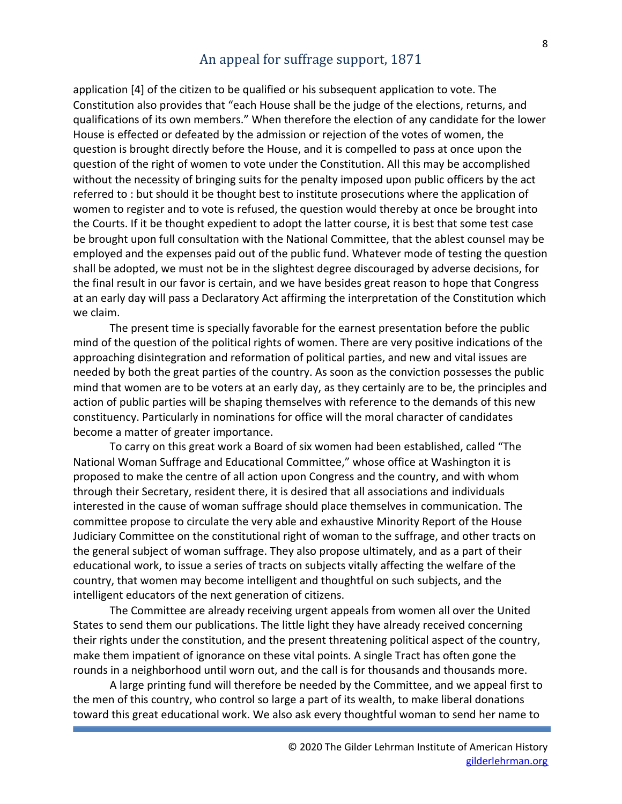application [4] of the citizen to be qualified or his subsequent application to vote. The Constitution also provides that "each House shall be the judge of the elections, returns, and qualifications of its own members." When therefore the election of any candidate for the lower House is effected or defeated by the admission or rejection of the votes of women, the question is brought directly before the House, and it is compelled to pass at once upon the question of the right of women to vote under the Constitution. All this may be accomplished without the necessity of bringing suits for the penalty imposed upon public officers by the act referred to : but should it be thought best to institute prosecutions where the application of women to register and to vote is refused, the question would thereby at once be brought into the Courts. If it be thought expedient to adopt the latter course, it is best that some test case be brought upon full consultation with the National Committee, that the ablest counsel may be employed and the expenses paid out of the public fund. Whatever mode of testing the question shall be adopted, we must not be in the slightest degree discouraged by adverse decisions, for the final result in our favor is certain, and we have besides great reason to hope that Congress at an early day will pass a Declaratory Act affirming the interpretation of the Constitution which we claim.

The present time is specially favorable for the earnest presentation before the public mind of the question of the political rights of women. There are very positive indications of the approaching disintegration and reformation of political parties, and new and vital issues are needed by both the great parties of the country. As soon as the conviction possesses the public mind that women are to be voters at an early day, as they certainly are to be, the principles and action of public parties will be shaping themselves with reference to the demands of this new constituency. Particularly in nominations for office will the moral character of candidates become a matter of greater importance.

To carry on this great work a Board of six women had been established, called "The National Woman Suffrage and Educational Committee," whose office at Washington it is proposed to make the centre of all action upon Congress and the country, and with whom through their Secretary, resident there, it is desired that all associations and individuals interested in the cause of woman suffrage should place themselves in communication. The committee propose to circulate the very able and exhaustive Minority Report of the House Judiciary Committee on the constitutional right of woman to the suffrage, and other tracts on the general subject of woman suffrage. They also propose ultimately, and as a part of their educational work, to issue a series of tracts on subjects vitally affecting the welfare of the country, that women may become intelligent and thoughtful on such subjects, and the intelligent educators of the next generation of citizens.

The Committee are already receiving urgent appeals from women all over the United States to send them our publications. The little light they have already received concerning their rights under the constitution, and the present threatening political aspect of the country, make them impatient of ignorance on these vital points. A single Tract has often gone the rounds in a neighborhood until worn out, and the call is for thousands and thousands more.

A large printing fund will therefore be needed by the Committee, and we appeal first to the men of this country, who control so large a part of its wealth, to make liberal donations toward this great educational work. We also ask every thoughtful woman to send her name to

8